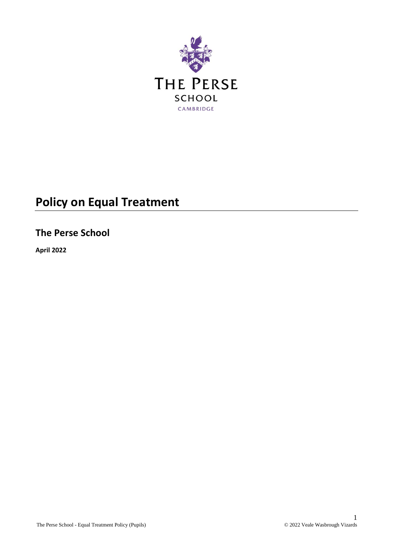

# **Policy on Equal Treatment**

## **The Perse School**

**April 2022**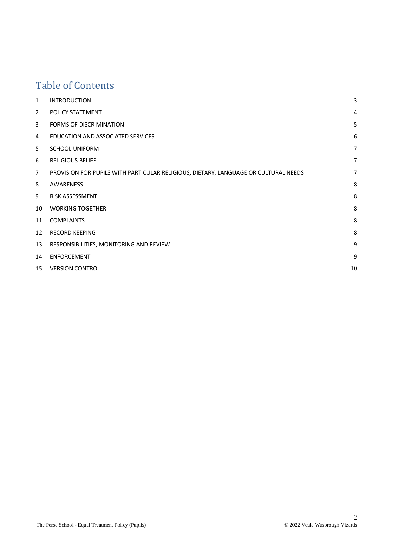## Table of Contents

| 1              | <b>INTRODUCTION</b>                                                                 | 3              |
|----------------|-------------------------------------------------------------------------------------|----------------|
| $\overline{2}$ | POLICY STATEMENT                                                                    | $\overline{4}$ |
| 3              | <b>FORMS OF DISCRIMINATION</b>                                                      | 5              |
| 4              | EDUCATION AND ASSOCIATED SERVICES                                                   | 6              |
| 5              | <b>SCHOOL UNIFORM</b>                                                               | $\overline{7}$ |
| 6              | <b>RELIGIOUS BELIEF</b>                                                             | 7              |
| 7              | PROVISION FOR PUPILS WITH PARTICULAR RELIGIOUS, DIETARY, LANGUAGE OR CULTURAL NEEDS | 7              |
| 8              | AWARENESS                                                                           | 8              |
| 9              | <b>RISK ASSESSMENT</b>                                                              | 8              |
| 10             | <b>WORKING TOGETHER</b>                                                             | 8              |
| 11             | <b>COMPLAINTS</b>                                                                   | 8              |
| 12             | <b>RECORD KEEPING</b>                                                               | 8              |
| 13             | RESPONSIBILITIES, MONITORING AND REVIEW                                             | 9              |
| 14             | <b>ENFORCEMENT</b>                                                                  | 9              |
| 15             | <b>VERSION CONTROL</b>                                                              | 10             |
|                |                                                                                     |                |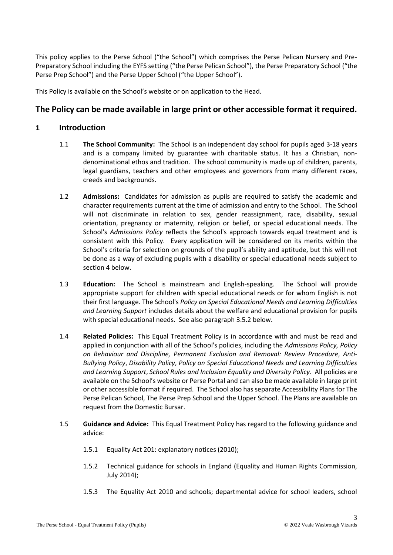This policy applies to the Perse School ("the School") which comprises the Perse Pelican Nursery and Pre-Preparatory School including the EYFS setting ("the Perse Pelican School"), the Perse Preparatory School ("the Perse Prep School") and the Perse Upper School ("the Upper School").

This Policy is available on the School's website or on application to the Head.

## **The Policy can be made available in large print or other accessible format it required.**

## **1 Introduction**

- 1.1 **The School Community:** The School is an independent day school for pupils aged 3-18 years and is a company limited by guarantee with charitable status. It has a Christian, nondenominational ethos and tradition. The school community is made up of children, parents, legal guardians, teachers and other employees and governors from many different races, creeds and backgrounds.
- 1.2 **Admissions:** Candidates for admission as pupils are required to satisfy the academic and character requirements current at the time of admission and entry to the School. The School will not discriminate in relation to sex, gender reassignment, race, disability, sexual orientation, pregnancy or maternity, religion or belief, or special educational needs. The School's *Admissions Policy* reflects the School's approach towards equal treatment and is consistent with this Policy. Every application will be considered on its merits within the School's criteria for selection on grounds of the pupil's ability and aptitude, but this will not be done as a way of excluding pupils with a disability or special educational needs subject to sectio[n 4](#page-5-0) below.
- 1.3 **Education:** The School is mainstream and English-speaking. The School will provide appropriate support for children with special educational needs or for whom English is not their first language. The School's *Policy on Special Educational Needs and Learning Difficulties and Learning Support* includes details about the welfare and educational provision for pupils with special educational needs. See also paragraph [3.5.2](#page-4-0) below.
- 1.4 **Related Policies:** This Equal Treatment Policy is in accordance with and must be read and applied in conjunction with all of the School's policies, including the *Admissions Policy, Policy on Behaviour and Discipline, Permanent Exclusion and Removal: Review Procedure*, *Anti-Bullying Policy*, *Disability Policy*, *Policy on Special Educational Needs and Learning Difficulties and Learning Support*, *School Rules and Inclusion Equality and Diversity Policy*. All policies are available on the School's website or Perse Portal and can also be made available in large print or other accessible format if required. The School also has separate Accessibility Plans for The Perse Pelican School, The Perse Prep School and the Upper School. The Plans are available on request from the Domestic Bursar.
- 1.5 **Guidance and Advice:** This Equal Treatment Policy has regard to the following guidance and advice:
	- 1.5.1 Equality Act 201: explanatory notices (2010);
	- 1.5.2 Technical guidance for schools in England (Equality and Human Rights Commission, July 2014);
	- 1.5.3 The Equality Act 2010 and schools; departmental advice for school leaders, school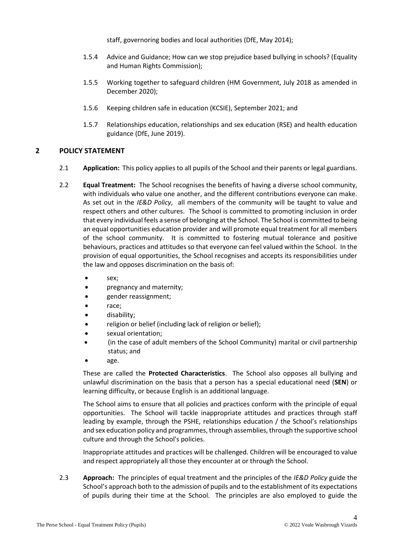staff, governoring bodies and local authorities (DfE, May 2014);

- 1.5.4 Advice and Guidance; How can we stop prejudice based bullying in schools? (Equality and Human Rights Commission);
- 1.5.5 Working together to safeguard children (HM Government, July 2018 as amended in December 2020);
- 1.5.6 Keeping children safe in education (KCSIE), September 2021; and
- 1.5.7 Relationships education, relationships and sex education (RSE) and health education guidance (DfE, June 2019).

#### **2 POLICY STATEMENT**

- 2.1 **Application:** This policy applies to all pupils of the School and their parents or legal guardians.
- <span id="page-3-0"></span>2.2 **Equal Treatment:** The School recognises the benefits of having a diverse school community, with individuals who value one another, and the different contributions everyone can make. As set out in the *IE&D Policy*, all members of the community will be taught to value and respect others and other cultures. The School is committed to promoting inclusion in order that every individual feels a sense of belonging at the School. The School is committed to being an equal opportunities education provider and will promote equal treatment for all members of the school community. It is committed to fostering mutual tolerance and positive behaviours, practices and attitudes so that everyone can feel valued within the School. In the provision of equal opportunities, the School recognises and accepts its responsibilities under the law and opposes discrimination on the basis of:
	- sex;
	- pregnancy and maternity;
	- gender reassignment;
	- race;
	- disability;
	- religion or belief (including lack of religion or belief);
	- sexual orientation;
	- (in the case of adult members of the School Community) marital or civil partnership status; and
	- age.

These are called the **Protected Characteristics**. The School also opposes all bullying and unlawful discrimination on the basis that a person has a special educational need (**SEN**) or learning difficulty, or because English is an additional language.

The School aims to ensure that all policies and practices conform with the principle of equal opportunities. The School will tackle inappropriate attitudes and practices through staff leading by example, through the PSHE, relationships education / the School's relationships and sex education policy and programmes, through assemblies, through the supportive school culture and through the School's policies.

Inappropriate attitudes and practices will be challenged. Children will be encouraged to value and respect appropriately all those they encounter at or through the School.

2.3 **Approach:** The principles of equal treatment and the principles of the *IE&D Policy* guide the School's approach both to the admission of pupils and to the establishment of its expectations of pupils during their time at the School. The principles are also employed to guide the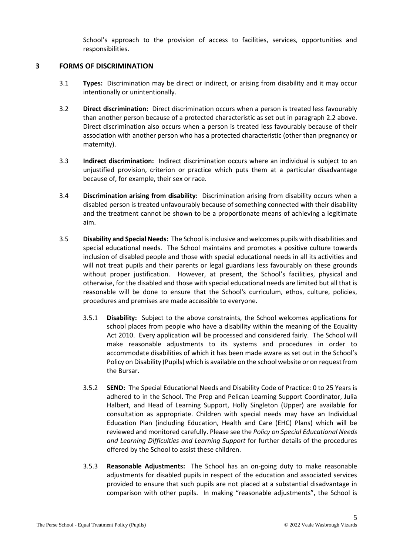School's approach to the provision of access to facilities, services, opportunities and responsibilities.

#### **3 FORMS OF DISCRIMINATION**

- 3.1 **Types:** Discrimination may be direct or indirect, or arising from disability and it may occur intentionally or unintentionally.
- 3.2 **Direct discrimination:** Direct discrimination occurs when a person is treated less favourably than another person because of a protected characteristic as set out in paragraph [2.2](#page-3-0) above. Direct discrimination also occurs when a person is treated less favourably because of their association with another person who has a protected characteristic (other than pregnancy or maternity).
- 3.3 **Indirect discrimination:** Indirect discrimination occurs where an individual is subject to an unjustified provision, criterion or practice which puts them at a particular disadvantage because of, for example, their sex or race.
- 3.4 **Discrimination arising from disability:** Discrimination arising from disability occurs when a disabled person is treated unfavourably because of something connected with their disability and the treatment cannot be shown to be a proportionate means of achieving a legitimate aim.
- <span id="page-4-1"></span><span id="page-4-0"></span>3.5 **Disability and Special Needs:** The School isinclusive and welcomes pupils with disabilities and special educational needs. The School maintains and promotes a positive culture towards inclusion of disabled people and those with special educational needs in all its activities and will not treat pupils and their parents or legal guardians less favourably on these grounds without proper justification. However, at present, the School's facilities, physical and otherwise, for the disabled and those with special educational needs are limited but all that is reasonable will be done to ensure that the School's curriculum, ethos, culture, policies, procedures and premises are made accessible to everyone.
	- 3.5.1 **Disability:** Subject to the above constraints, the School welcomes applications for school places from people who have a disability within the meaning of the Equality Act 2010. Every application will be processed and considered fairly. The School will make reasonable adjustments to its systems and procedures in order to accommodate disabilities of which it has been made aware as set out in the School's Policy on Disability (Pupils) which is available on the school website or on request from the Bursar.
	- 3.5.2 **SEND:** The Special Educational Needs and Disability Code of Practice: 0 to 25 Years is adhered to in the School. The Prep and Pelican Learning Support Coordinator, Julia Halbert, and Head of Learning Support, Holly Singleton (Upper) are available for consultation as appropriate. Children with special needs may have an Individual Education Plan (including Education, Health and Care (EHC) Plans) which will be reviewed and monitored carefully. Please see the *Policy on Special Educational Needs and Learning Difficulties and Learning Support* for further details of the procedures offered by the School to assist these children.
	- 3.5.3 **Reasonable Adjustments:** The School has an on-going duty to make reasonable adjustments for disabled pupils in respect of the education and associated services provided to ensure that such pupils are not placed at a substantial disadvantage in comparison with other pupils. In making "reasonable adjustments", the School is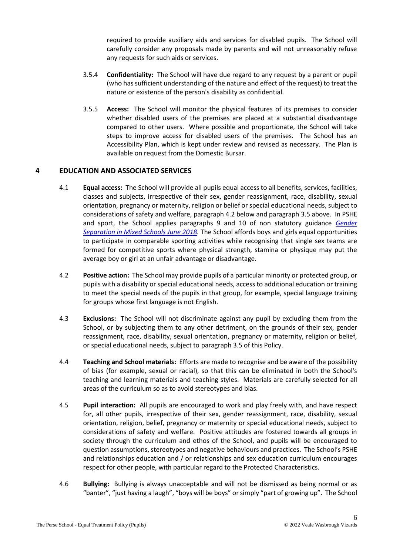required to provide auxiliary aids and services for disabled pupils. The School will carefully consider any proposals made by parents and will not unreasonably refuse any requests for such aids or services.

- 3.5.4 **Confidentiality:** The School will have due regard to any request by a parent or pupil (who has sufficient understanding of the nature and effect of the request) to treat the nature or existence of the person's disability as confidential.
- 3.5.5 **Access:** The School will monitor the physical features of its premises to consider whether disabled users of the premises are placed at a substantial disadvantage compared to other users. Where possible and proportionate, the School will take steps to improve access for disabled users of the premises. The School has an Accessibility Plan, which is kept under review and revised as necessary. The Plan is available on request from the Domestic Bursar.

## <span id="page-5-0"></span>**4 EDUCATION AND ASSOCIATED SERVICES**

- 4.1 **Equal access:** The School will provide all pupils equal access to all benefits, services, facilities, classes and subjects, irrespective of their sex, gender reassignment, race, disability, sexual orientation, pregnancy or maternity, religion or belief or special educational needs, subject to considerations of safety and welfare, paragraph [4.2](#page-5-1) below and paragraph [3.5](#page-4-1) above. In PSHE and sport, the School applies paragraphs 9 and 10 of non statutory guidance *[Gender](https://www.gov.uk/government/publications/gender-separation-in-mixed-schools)  [Separation in Mixed Schools June 2018.](https://www.gov.uk/government/publications/gender-separation-in-mixed-schools)* The School affords boys and girls equal opportunities to participate in comparable sporting activities while recognising that single sex teams are formed for competitive sports where physical strength, stamina or physique may put the average boy or girl at an unfair advantage or disadvantage.
- <span id="page-5-1"></span>4.2 **Positive action:** The School may provide pupils of a particular minority or protected group, or pupils with a disability or special educational needs, access to additional education or training to meet the special needs of the pupils in that group, for example, special language training for groups whose first language is not English.
- 4.3 **Exclusions:** The School will not discriminate against any pupil by excluding them from the School, or by subjecting them to any other detriment, on the grounds of their sex, gender reassignment, race, disability, sexual orientation, pregnancy or maternity, religion or belief, or special educational needs, subject to paragrap[h 3.5](#page-4-1) of this Policy.
- 4.4 **Teaching and School materials:** Efforts are made to recognise and be aware of the possibility of bias (for example, sexual or racial), so that this can be eliminated in both the School's teaching and learning materials and teaching styles. Materials are carefully selected for all areas of the curriculum so as to avoid stereotypes and bias.
- 4.5 **Pupil interaction:** All pupils are encouraged to work and play freely with, and have respect for, all other pupils, irrespective of their sex, gender reassignment, race, disability, sexual orientation, religion, belief, pregnancy or maternity or special educational needs, subject to considerations of safety and welfare. Positive attitudes are fostered towards all groups in society through the curriculum and ethos of the School, and pupils will be encouraged to question assumptions, stereotypes and negative behaviours and practices. The School's PSHE and relationships education and / or relationships and sex education curriculum encourages respect for other people, with particular regard to the Protected Characteristics.
- 4.6 **Bullying:** Bullying is always unacceptable and will not be dismissed as being normal or as "banter", "just having a laugh", "boys will be boys" or simply "part of growing up". The School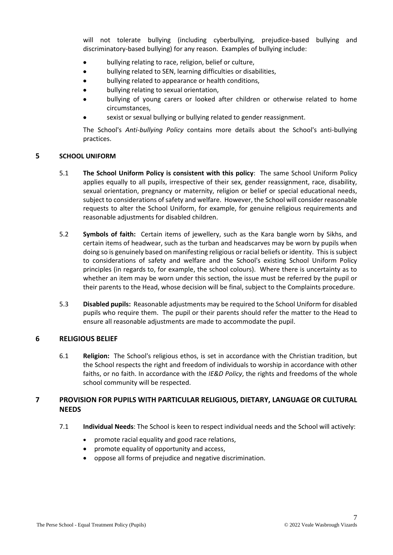will not tolerate bullying (including cyberbullying, prejudice-based bullying and discriminatory-based bullying) for any reason. Examples of bullying include:

- bullying relating to race, religion, belief or culture,
- bullying related to SEN, learning difficulties or disabilities,
- bullying related to appearance or health conditions,
- bullying relating to sexual orientation,
- bullying of young carers or looked after children or otherwise related to home circumstances,
- sexist or sexual bullying or bullying related to gender reassignment.

The School's *Anti-bullying Policy* contains more details about the School's anti-bullying practices.

#### **5 SCHOOL UNIFORM**

- 5.1 **The School Uniform Policy is consistent with this policy**: The same School Uniform Policy applies equally to all pupils, irrespective of their sex, gender reassignment, race, disability, sexual orientation, pregnancy or maternity, religion or belief or special educational needs, subject to considerations of safety and welfare. However, the School will consider reasonable requests to alter the School Uniform, for example, for genuine religious requirements and reasonable adjustments for disabled children.
- 5.2 **Symbols of faith:** Certain items of jewellery, such as the Kara bangle worn by Sikhs, and certain items of headwear, such as the turban and headscarves may be worn by pupils when doing so is genuinely based on manifesting religious or racial beliefs or identity. This is subject to considerations of safety and welfare and the School's existing School Uniform Policy principles (in regards to, for example, the school colours). Where there is uncertainty as to whether an item may be worn under this section, the issue must be referred by the pupil or their parents to the Head, whose decision will be final, subject to the Complaints procedure.
- 5.3 **Disabled pupils:** Reasonable adjustments may be required to the School Uniform for disabled pupils who require them. The pupil or their parents should refer the matter to the Head to ensure all reasonable adjustments are made to accommodate the pupil.

#### **6 RELIGIOUS BELIEF**

6.1 **Religion:** The School's religious ethos, is set in accordance with the Christian tradition, but the School respects the right and freedom of individuals to worship in accordance with other faiths, or no faith. In accordance with the *IE&D Policy*, the rights and freedoms of the whole school community will be respected.

## **7 PROVISION FOR PUPILS WITH PARTICULAR RELIGIOUS, DIETARY, LANGUAGE OR CULTURAL NEEDS**

- 7.1 **Individual Needs**: The School is keen to respect individual needs and the School will actively:
	- promote racial equality and good race relations,
	- promote equality of opportunity and access,
	- oppose all forms of prejudice and negative discrimination.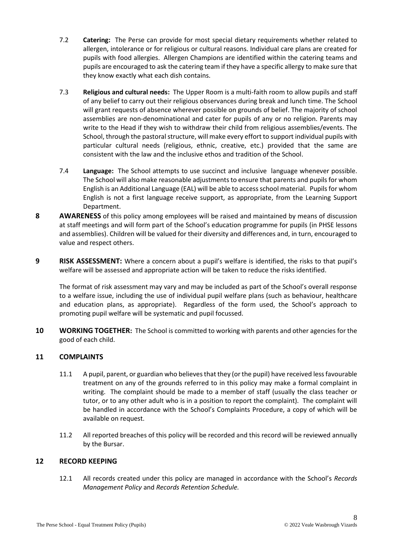- 7.2 **Catering:** The Perse can provide for most special dietary requirements whether related to allergen, intolerance or for religious or cultural reasons. Individual care plans are created for pupils with food allergies. Allergen Champions are identified within the catering teams and pupils are encouraged to ask the catering team if they have a specific allergy to make sure that they know exactly what each dish contains.
- 7.3 **Religious and cultural needs:** The Upper Room is a multi-faith room to allow pupils and staff of any belief to carry out their religious observances during break and lunch time. The School will grant requests of absence wherever possible on grounds of belief. The majority of school assemblies are non-denominational and cater for pupils of any or no religion. Parents may write to the Head if they wish to withdraw their child from religious assemblies/events. The School, through the pastoral structure, will make every effort to support individual pupils with particular cultural needs (religious, ethnic, creative, etc.) provided that the same are consistent with the law and the inclusive ethos and tradition of the School.
- 7.4 **Language:** The School attempts to use succinct and inclusive language whenever possible. The School will also make reasonable adjustments to ensure that parents and pupils for whom English is an Additional Language (EAL) will be able to access school material. Pupils for whom English is not a first language receive support, as appropriate, from the Learning Support Department.
- **8 AWARENESS** of this policy among employees will be raised and maintained by means of discussion at staff meetings and will form part of the School's education programme for pupils (in PHSE lessons and assemblies). Children will be valued for their diversity and differences and, in turn, encouraged to value and respect others.
- **9 RISK ASSESSMENT:** Where a concern about a pupil's welfare is identified, the risks to that pupil's welfare will be assessed and appropriate action will be taken to reduce the risks identified.

The format of risk assessment may vary and may be included as part of the School's overall response to a welfare issue, including the use of individual pupil welfare plans (such as behaviour, healthcare and education plans, as appropriate). Regardless of the form used, the School's approach to promoting pupil welfare will be systematic and pupil focussed.

**10 WORKING TOGETHER:** The School is committed to working with parents and other agencies for the good of each child.

## **11 COMPLAINTS**

- 11.1 A pupil, parent, or guardian who believes that they (or the pupil) have received less favourable treatment on any of the grounds referred to in this policy may make a formal complaint in writing. The complaint should be made to a member of staff (usually the class teacher or tutor, or to any other adult who is in a position to report the complaint). The complaint will be handled in accordance with the School's Complaints Procedure, a copy of which will be available on request.
- 11.2 All reported breaches of this policy will be recorded and this record will be reviewed annually by the Bursar.

## **12 RECORD KEEPING**

12.1 All records created under this policy are managed in accordance with the School's *Records Management Policy* and *Records Retention Schedule.*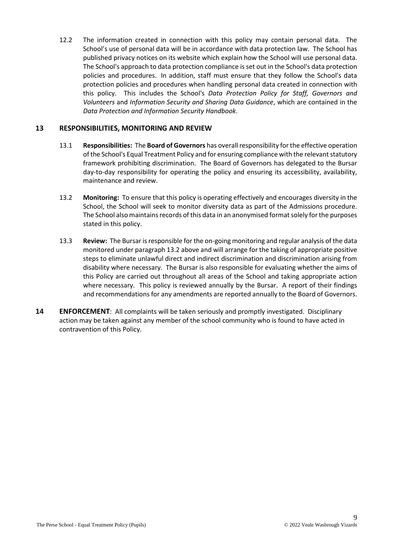12.2 The information created in connection with this policy may contain personal data. The School's use of personal data will be in accordance with data protection law. The School has published privacy notices on its website which explain how the School will use personal data. The School's approach to data protection compliance is set out in the School's data protection policies and procedures. In addition, staff must ensure that they follow the School's data protection policies and procedures when handling personal data created in connection with this policy. This includes the School's *Data Protection Policy for Staff, Governors and Volunteers* and *Information Security and Sharing Data Guidance*, which are contained in the *Data Protection and Information Security Handbook*.

#### **13 RESPONSIBILITIES, MONITORING AND REVIEW**

- 13.1 **Responsibilities:** The **Board of Governors** has overall responsibility for the effective operation of the School's Equal Treatment Policy and for ensuring compliance with the relevant statutory framework prohibiting discrimination. The Board of Governors has delegated to the Bursar day-to-day responsibility for operating the policy and ensuring its accessibility, availability, maintenance and review.
- <span id="page-8-0"></span>13.2 **Monitoring:** To ensure that this policy is operating effectively and encourages diversity in the School, the School will seek to monitor diversity data as part of the Admissions procedure. The School also maintains records of this data in an anonymised format solely for the purposes stated in this policy.
- 13.3 **Review:** The Bursar is responsible for the on-going monitoring and regular analysis of the data monitored under paragraph [13.2](#page-8-0) above and will arrange for the taking of appropriate positive steps to eliminate unlawful direct and indirect discrimination and discrimination arising from disability where necessary. The Bursar is also responsible for evaluating whether the aims of this Policy are carried out throughout all areas of the School and taking appropriate action where necessary. This policy is reviewed annually by the Bursar. A report of their findings and recommendations for any amendments are reported annually to the Board of Governors.
- **14 ENFORCEMENT**: All complaints will be taken seriously and promptly investigated. Disciplinary action may be taken against any member of the school community who is found to have acted in contravention of this Policy.